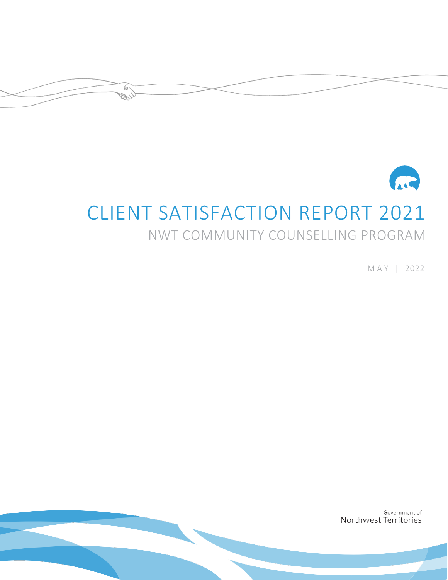

# <span id="page-0-3"></span><span id="page-0-2"></span><span id="page-0-1"></span><span id="page-0-0"></span>CLIENT SATISFACTION REPORT 2021

 $\bigcirc$ کر وچ

## NWT COMMUNITY COUNSELLING PROGRAM

M A Y | 2022

Government of Northwest Territories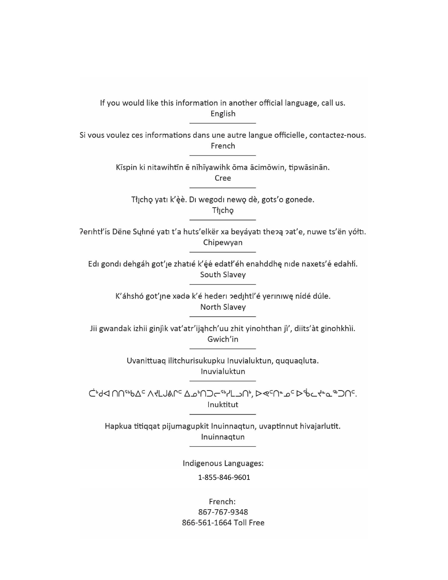If you would like this information in another official language, call us. English

Si vous voulez ces informations dans une autre langue officielle, contactez-nous. French

Kīspin ki nitawihtīn ē nīhīyawihk ōma ācimōwin, tipwāsinān.

<span id="page-1-0"></span>Cree

Tłįchę yatı k'èè. Di wegodi newę dè, gots'o gonede. Thicho

Perihtł'ís Dëne Sųłiné yati t'a huts'elkër xa beyáyati thepą pat'e, nuwe ts'ën yółti. Chipewyan

Edi gondi dehgáh got' je zhatié k' éé edati' éh enahddhę nide naxets' é edahíí. South Slavey

> K'áhshó got'ıne xada k'é hederi pedihtl'é yeriniwę nídé dúle. North Slavey

Jii gwandak izhii ginjìk vat'atr'ijahch'uu zhit yinohthan jì', diits'àt ginohkhìi. Gwich'in

> Uvanittuaq ilitchurisukupku Inuvialuktun, ququaqluta. Inuvialuktun

כולא חחייוט בי אלגושמרי בשיח⊃ריוילגו ביץ בים ישים ליום ליים יים חי. Inuktitut

Hapkua titiqqat pijumagupkit Inuinnaqtun, uvaptinnut hivajarlutit. Inuinnagtun

Indigenous Languages:

1-855-846-9601

French: 867-767-9348 866-561-1664 Toll Free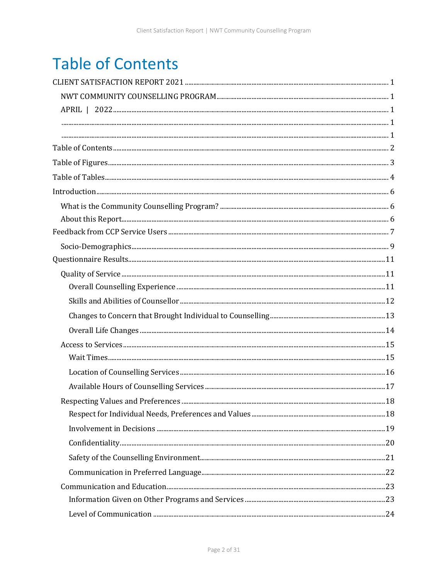## <span id="page-2-0"></span>**Table of Contents**

| Introduction 666 |  |
|------------------|--|
|                  |  |
|                  |  |
|                  |  |
|                  |  |
|                  |  |
|                  |  |
|                  |  |
|                  |  |
|                  |  |
|                  |  |
|                  |  |
|                  |  |
|                  |  |
|                  |  |
|                  |  |
|                  |  |
|                  |  |
|                  |  |
|                  |  |
|                  |  |
|                  |  |
|                  |  |
|                  |  |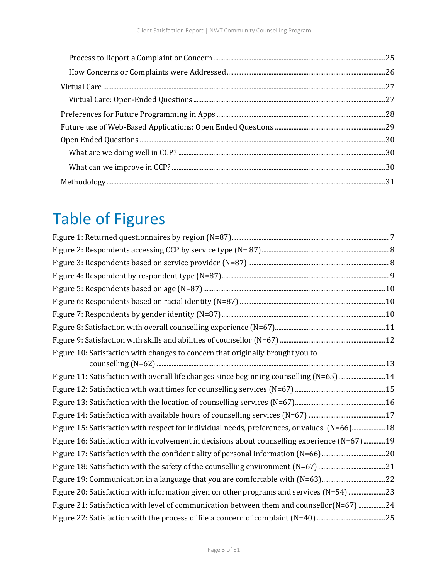| $\label{thm:main} \mbox{Methodology}. \begin{tabular}{l} \hline \textbf{Methodology}. \end{tabular} \begin{tabular}{l} \hline \textbf{Methodology}. \end{tabular} \end{tabular} \begin{tabular}{l} \hline \textbf{Methodology}. \end{tabular} \begin{tabular}{l} \hline \textbf{Methodology}. \end{tabular} \end{tabular} \begin{tabular}{l} \hline \textbf{Methodology}. \end{tabular} \end{tabular} \begin{tabular}{l} \hline \textbf{Methodology}. \end{tabular} \end{tabular} \begin{tabular}{l} \hline \textbf{Methodology}. \end{tabular} \begin{tabular}{l} \hline \text$ |  |
|----------------------------------------------------------------------------------------------------------------------------------------------------------------------------------------------------------------------------------------------------------------------------------------------------------------------------------------------------------------------------------------------------------------------------------------------------------------------------------------------------------------------------------------------------------------------------------|--|

## <span id="page-3-0"></span>Table of Figures

| Figure 10: Satisfaction with changes to concern that originally brought you to               |
|----------------------------------------------------------------------------------------------|
| Figure 11: Satisfaction with overall life changes since beginning counselling (N=65)14       |
|                                                                                              |
|                                                                                              |
|                                                                                              |
| Figure 15: Satisfaction with respect for individual needs, preferences, or values (N=66) 18  |
| Figure 16: Satisfaction with involvement in decisions about counselling experience (N=67) 19 |
|                                                                                              |
|                                                                                              |
| Figure 19: Communication in a language that you are comfortable with (N=63)22                |
| Figure 20: Satisfaction with information given on other programs and services (N=54) 23      |
| Figure 21: Satisfaction with level of communication between them and counsellor(N=67) 24     |
|                                                                                              |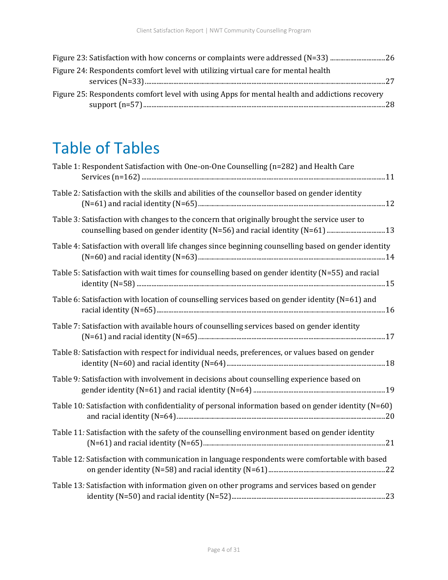| Figure 23: Satisfaction with how concerns or complaints were addressed (N=33) 26               |  |
|------------------------------------------------------------------------------------------------|--|
| Figure 24: Respondents comfort level with utilizing virtual care for mental health             |  |
|                                                                                                |  |
| Figure 25: Respondents comfort level with using Apps for mental health and addictions recovery |  |
|                                                                                                |  |

## <span id="page-4-0"></span>Table of Tables

| Table 1: Respondent Satisfaction with One-on-One Counselling (n=282) and Health Care                                                                                        |  |
|-----------------------------------------------------------------------------------------------------------------------------------------------------------------------------|--|
| Table 2: Satisfaction with the skills and abilities of the counsellor based on gender identity                                                                              |  |
| Table 3: Satisfaction with changes to the concern that originally brought the service user to<br>counselling based on gender identity (N=56) and racial identity (N=61)  13 |  |
| Table 4: Satisfaction with overall life changes since beginning counselling based on gender identity                                                                        |  |
| Table 5: Satisfaction with wait times for counselling based on gender identity (N=55) and racial                                                                            |  |
| Table 6: Satisfaction with location of counselling services based on gender identity (N=61) and                                                                             |  |
| Table 7: Satisfaction with available hours of counselling services based on gender identity                                                                                 |  |
| Table 8: Satisfaction with respect for individual needs, preferences, or values based on gender                                                                             |  |
| Table 9: Satisfaction with involvement in decisions about counselling experience based on                                                                                   |  |
| Table 10: Satisfaction with confidentiality of personal information based on gender identity (N=60)                                                                         |  |
| Table 11: Satisfaction with the safety of the counselling environment based on gender identity                                                                              |  |
| Table 12: Satisfaction with communication in language respondents were comfortable with based                                                                               |  |
| Table 13: Satisfaction with information given on other programs and services based on gender                                                                                |  |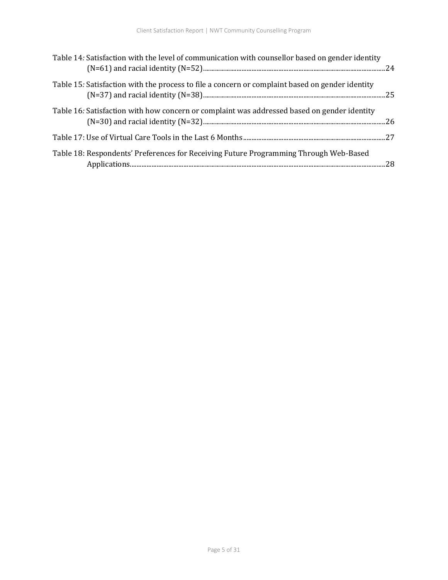| Table 14: Satisfaction with the level of communication with counsellor based on gender identity |  |
|-------------------------------------------------------------------------------------------------|--|
| Table 15: Satisfaction with the process to file a concern or complaint based on gender identity |  |
| Table 16: Satisfaction with how concern or complaint was addressed based on gender identity     |  |
|                                                                                                 |  |
| Table 18: Respondents' Preferences for Receiving Future Programming Through Web-Based           |  |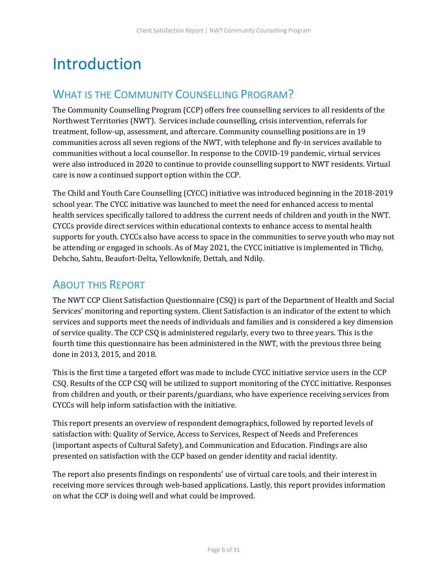## <span id="page-6-0"></span>Introduction

### <span id="page-6-1"></span>WHAT IS THE COMMUNITY COUNSELLING PROGRAM?

The Community Counselling Program (CCP) offers free counselling services to all residents of the Northwest Territories (NWT). Services include counselling, crisis intervention, referrals for treatment, follow-up, assessment, and aftercare. Community counselling positions are in 19 communities across all seven regions of the NWT, with telephone and fly-in services available to communities without a local counsellor. In response to the COVID-19 pandemic, virtual services were also introduced in 2020 to continue to provide counselling support to NWT residents. Virtual care is now a continued support option within the CCP.

The Child and Youth Care Counselling (CYCC) initiative was introduced beginning in the 2018-2019 school year. The CYCC initiative was launched to meet the need for enhanced access to mental health services specifically tailored to address the current needs of children and youth in the NWT. CYCCs provide direct services within educational contexts to enhance access to mental health supports for youth. CYCCs also have access to space in the communities to serve youth who may not be attending or engaged in schools. As of May 2021, the CYCC initiative is implemented in Tłìchǫ, Dehcho, Sahtu, Beaufort-Delta, Yellowknife, Dettah, and Ndilǫ.

### <span id="page-6-2"></span>ABOUT THIS REPORT

The NWT CCP Client Satisfaction Questionnaire (CSQ) is part of the Department of Health and Social Services' monitoring and reporting system. Client Satisfaction is an indicator of the extent to which services and supports meet the needs of individuals and families and is considered a key dimension of service quality. The CCP CSQ is administered regularly, every two to three years. This is the fourth time this questionnaire has been administered in the NWT, with the previous three being done in 2013, 2015, and 2018.

This is the first time a targeted effort was made to include CYCC initiative service users in the CCP CSQ. Results of the CCP CSQ will be utilized to support monitoring of the CYCC initiative. Responses from children and youth, or their parents/guardians, who have experience receiving services from CYCCs will help inform satisfaction with the initiative.

This report presents an overview of respondent demographics, followed by reported levels of satisfaction with: Quality of Service, Access to Services, Respect of Needs and Preferences (important aspects of Cultural Safety), and Communication and Education. Findings are also presented on satisfaction with the CCP based on gender identity and racial identity.

The report also presents findings on respondents' use of virtual care tools, and their interest in receiving more services through web-based applications. Lastly, this report provides information on what the CCP is doing well and what could be improved.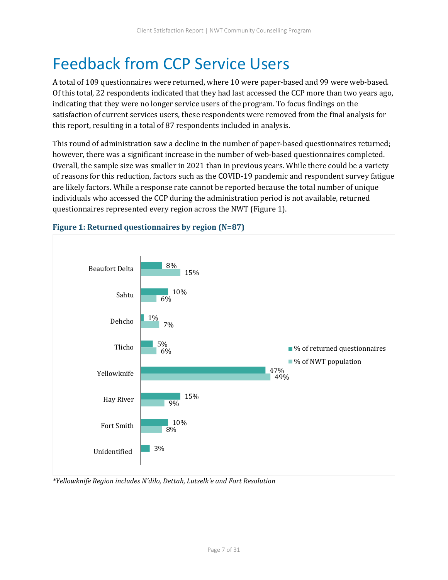## <span id="page-7-0"></span>Feedback from CCP Service Users

A total of 109 questionnaires were returned, where 10 were paper-based and 99 were web-based. Of this total, 22 respondents indicated that they had last accessed the CCP more than two years ago, indicating that they were no longer service users of the program. To focus findings on the satisfaction of current services users, these respondents were removed from the final analysis for this report, resulting in a total of 87 respondents included in analysis.

This round of administration saw a decline in the number of paper-based questionnaires returned; however, there was a significant increase in the number of web-based questionnaires completed. Overall, the sample size was smaller in 2021 than in previous years. While there could be a variety of reasons for this reduction, factors such as the COVID-19 pandemic and respondent survey fatigue are likely factors. While a response rate cannot be reported because the total number of unique individuals who accessed the CCP during the administration period is not available, returned questionnaires represented every region across the NWT (Figure 1).



#### <span id="page-7-1"></span>**Figure 1: Returned questionnaires by region (N=87)**

*\*Yellowknife Region includes N'dilo, Dettah, Lutselk'e and Fort Resolution*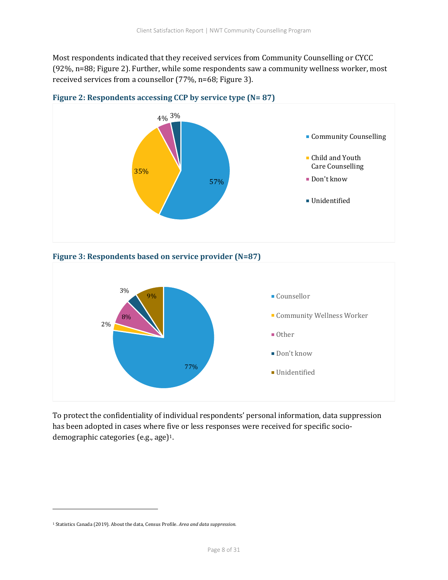Most respondents indicated that they received services from Community Counselling or CYCC (92%, n=88; Figure 2). Further, while some respondents saw a community wellness worker, most received services from a counsellor (77%, n=68; Figure 3).



<span id="page-8-0"></span>

<span id="page-8-1"></span>



To protect the confidentiality of individual respondents' personal information, data suppression has been adopted in cases where five or less responses were received for specific sociodemographic categories (e.g., age)1.

<sup>1</sup> Statistics Canada (2019). About the data, Census Profile. *Area and data suppression.*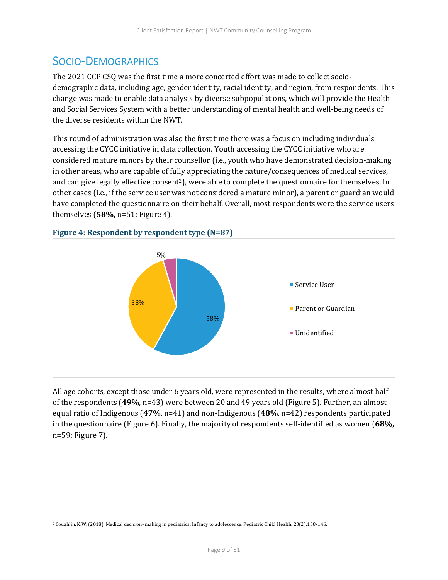### <span id="page-9-0"></span>SOCIO-DEMOGRAPHICS

The 2021 CCP CSQ was the first time a more concerted effort was made to collect sociodemographic data, including age, gender identity, racial identity, and region, from respondents. This change was made to enable data analysis by diverse subpopulations, which will provide the Health and Social Services System with a better understanding of mental health and well-being needs of the diverse residents within the NWT.

This round of administration was also the first time there was a focus on including individuals accessing the CYCC initiative in data collection. Youth accessing the CYCC initiative who are considered mature minors by their counsellor (i.e., youth who have demonstrated decision-making in other areas, who are capable of fully appreciating the nature/consequences of medical services, and can give legally effective consent<sup>2</sup>), were able to complete the questionnaire for themselves. In other cases (i.e., if the service user was not considered a mature minor), a parent or guardian would have completed the questionnaire on their behalf. Overall, most respondents were the service users themselves (**58%,** n=51; Figure 4).



<span id="page-9-1"></span>**Figure 4: Respondent by respondent type (N=87)**

All age cohorts, except those under 6 years old, were represented in the results, where almost half of the respondents (**49%**, n=43) were between 20 and 49 years old (Figure 5). Further, an almost equal ratio of Indigenous (**47%**, n=41) and non-Indigenous (**48%**, n=42) respondents participated in the questionnaire (Figure 6). Finally, the majority of respondents self-identified as women (**68%,** n=59; Figure 7).

<sup>2</sup> Coughlin, K.W. (2018). Medical decision- making in pediatrics: Infancy to adolescence. Pediatric Child Health. 23(2):138-146.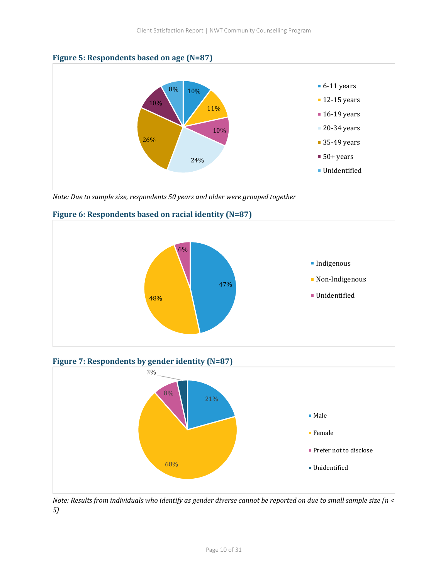<span id="page-10-0"></span>



*Note: Due to sample size, respondents 50 years and older were grouped together* 



#### <span id="page-10-1"></span>**Figure 6: Respondents based on racial identity (N=87)**

<span id="page-10-2"></span>**Figure 7: Respondents by gender identity (N=87)**



*Note: Results from individuals who identify as gender diverse cannot be reported on due to small sample size (n < 5)*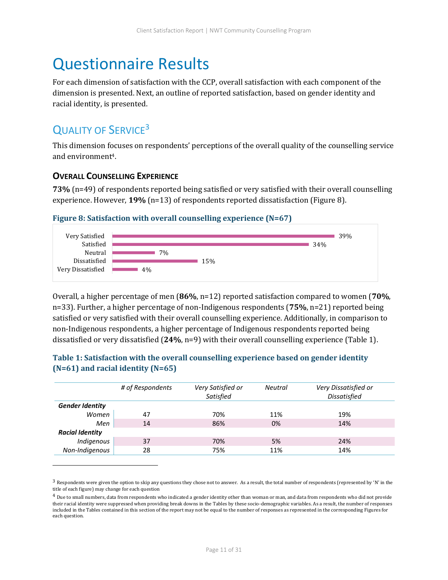## <span id="page-11-0"></span>Questionnaire Results

For each dimension of satisfaction with the CCP, overall satisfaction with each component of the dimension is presented. Next, an outline of reported satisfaction, based on gender identity and racial identity, is presented.

## <span id="page-11-1"></span>QUALITY OF SERVICE<sup>3</sup>

This dimension focuses on respondents' perceptions of the overall quality of the counselling service and environment4.

#### <span id="page-11-2"></span>**OVERALL COUNSELLING EXPERIENCE**

**73%** (n=49) of respondents reported being satisfied or very satisfied with their overall counselling experience. However, **19%** (n=13) of respondents reported dissatisfaction (Figure 8).

#### <span id="page-11-3"></span>**Figure 8: Satisfaction with overall counselling experience (N=67)**



Overall, a higher percentage of men (**86%**, n=12) reported satisfaction compared to women (**70%**, n=33). Further, a higher percentage of non-Indigenous respondents (**75%**, n=21) reported being satisfied or very satisfied with their overall counselling experience. Additionally, in comparison to non-Indigenous respondents, a higher percentage of Indigenous respondents reported being dissatisfied or very dissatisfied (**24%**, n=9) with their overall counselling experience (Table 1).

#### <span id="page-11-4"></span>**Table 1: Satisfaction with the overall counselling experience based on gender identity (N=61) and racial identity (N=65)**

|                        | # of Respondents | Very Satisfied or<br>Satisfied | <b>Neutral</b> | Very Dissatisfied or<br><b>Dissatisfied</b> |
|------------------------|------------------|--------------------------------|----------------|---------------------------------------------|
| <b>Gender Identity</b> |                  |                                |                |                                             |
| Women                  | 47               | 70%                            | 11%            | 19%                                         |
| Men                    | 14               | 86%                            | 0%             | 14%                                         |
| <b>Racial Identity</b> |                  |                                |                |                                             |
| Indigenous             | 37               | 70%                            | 5%             | 24%                                         |
| Non-Indigenous         | 28               | 75%                            | 11%            | 14%                                         |

 $3$  Respondents were given the option to skip any questions they chose not to answer. As a result, the total number of respondents (represented by 'N' in the title of each figure) may change for each question

<sup>4</sup> Due to small numbers, data from respondents who indicated a gender identity other than woman or man, and data from respondents who did not provide their racial identity were suppressed when providing break downs in the Tables by these socio-demographic variables. As a result, the number of responses included in the Tables contained in this section of the report may not be equal to the number of responses as represented in the corresponding Figures for each question.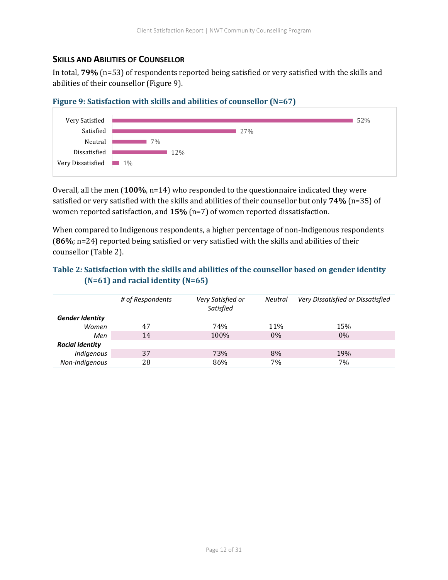#### <span id="page-12-0"></span>**SKILLS AND ABILITIES OF COUNSELLOR**

In total, **79%** (n=53) of respondents reported being satisfied or very satisfied with the skills and abilities of their counsellor (Figure 9).

<span id="page-12-1"></span>



Overall, all the men (**100%**, n=14) who responded to the questionnaire indicated they were satisfied or very satisfied with the skills and abilities of their counsellor but only **74%** (n=35) of women reported satisfaction, and **15%** (n=7) of women reported dissatisfaction.

When compared to Indigenous respondents, a higher percentage of non-Indigenous respondents (**86%**; n=24) reported being satisfied or very satisfied with the skills and abilities of their counsellor (Table 2).

#### <span id="page-12-2"></span>**Table 2***:* **Satisfaction with the skills and abilities of the counsellor based on gender identity (N=61) and racial identity (N=65)**

|                        | # of Respondents | Very Satisfied or<br>Satisfied | <b>Neutral</b> | Very Dissatisfied or Dissatisfied |
|------------------------|------------------|--------------------------------|----------------|-----------------------------------|
| <b>Gender Identity</b> |                  |                                |                |                                   |
| Women                  | 47               | 74%                            | 11%            | 15%                               |
| Men                    | 14               | 100%                           | $0\%$          | $0\%$                             |
| <b>Racial Identity</b> |                  |                                |                |                                   |
| Indigenous             | 37               | 73%                            | 8%             | 19%                               |
| Non-Indigenous         | 28               | 86%                            | 7%             | 7%                                |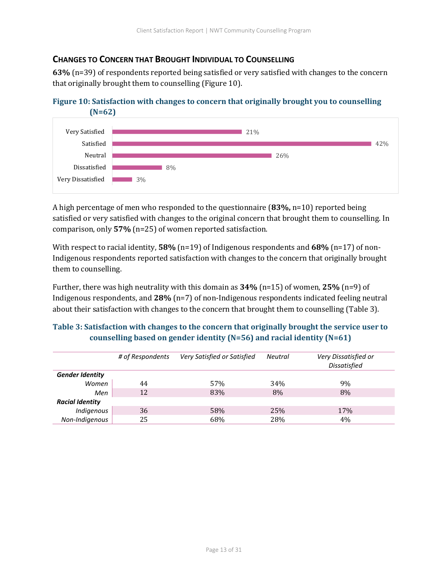#### <span id="page-13-0"></span>**CHANGES TO CONCERN THAT BROUGHT INDIVIDUAL TO COUNSELLING**

**63%** (n=39) of respondents reported being satisfied or very satisfied with changes to the concern that originally brought them to counselling (Figure 10).

<span id="page-13-1"></span>



A high percentage of men who responded to the questionnaire (**83%,** n=10) reported being satisfied or very satisfied with changes to the original concern that brought them to counselling. In comparison, only **57%** (n=25) of women reported satisfaction.

With respect to racial identity, **58%** (n=19) of Indigenous respondents and **68%** (n=17) of non-Indigenous respondents reported satisfaction with changes to the concern that originally brought them to counselling.

Further, there was high neutrality with this domain as **34%** (n=15) of women, **25%** (n=9) of Indigenous respondents, and **28%** (n=7) of non-Indigenous respondents indicated feeling neutral about their satisfaction with changes to the concern that brought them to counselling (Table 3).

#### <span id="page-13-2"></span>**Table 3: Satisfaction with changes to the concern that originally brought the service user to counselling based on gender identity (N=56) and racial identity (N=61)**

|                        | # of Respondents | Very Satisfied or Satisfied | <b>Neutral</b> | Very Dissatisfied or<br><b>Dissatisfied</b> |
|------------------------|------------------|-----------------------------|----------------|---------------------------------------------|
| <b>Gender Identity</b> |                  |                             |                |                                             |
| Women                  | 44               | 57%                         | 34%            | 9%                                          |
| Men                    | 12               | 83%                         | 8%             | 8%                                          |
| <b>Racial Identity</b> |                  |                             |                |                                             |
| Indigenous             | 36               | 58%                         | 25%            | 17%                                         |
| Non-Indigenous         | 25               | 68%                         | 28%            | 4%                                          |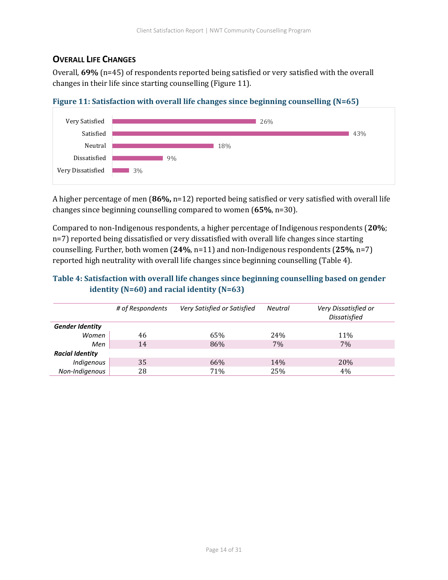#### <span id="page-14-0"></span>**OVERALL LIFE CHANGES**

Overall, **69%** (n=45) of respondents reported being satisfied or very satisfied with the overall changes in their life since starting counselling (Figure 11).



#### <span id="page-14-1"></span>**Figure 11: Satisfaction with overall life changes since beginning counselling (N=65)**

A higher percentage of men (**86%,** n=12) reported being satisfied or very satisfied with overall life changes since beginning counselling compared to women (**65%**, n=30).

Compared to non-Indigenous respondents, a higher percentage of Indigenous respondents (**20%**; n=7) reported being dissatisfied or very dissatisfied with overall life changes since starting counselling. Further, both women (**24%**, n=11) and non-Indigenous respondents (**25%**, n=7) reported high neutrality with overall life changes since beginning counselling (Table 4).

#### <span id="page-14-2"></span>**Table 4: Satisfaction with overall life changes since beginning counselling based on gender identity (N=60) and racial identity (N=63)**

|                        | # of Respondents | Very Satisfied or Satisfied | <b>Neutral</b> | Very Dissatisfied or<br><b>Dissatisfied</b> |
|------------------------|------------------|-----------------------------|----------------|---------------------------------------------|
| <b>Gender Identity</b> |                  |                             |                |                                             |
| Women                  | 46               | 65%                         | 24%            | 11%                                         |
| Men                    | 14               | 86%                         | 7%             | 7%                                          |
| <b>Racial Identity</b> |                  |                             |                |                                             |
| Indigenous             | 35               | 66%                         | 14%            | <b>20%</b>                                  |
| Non-Indigenous         | 28               | 71%                         | 25%            | 4%                                          |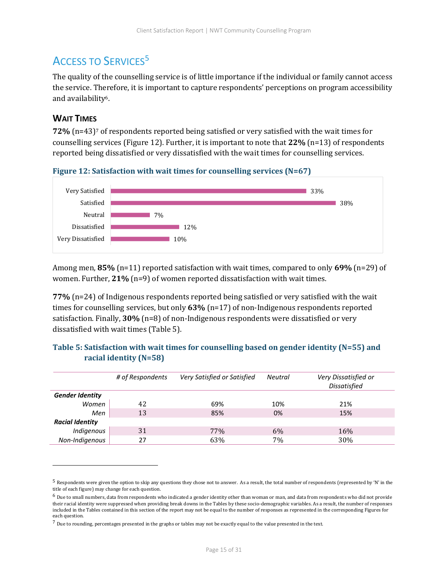## <span id="page-15-0"></span>ACCESS TO SERVICES<sup>5</sup>

The quality of the counselling service is of little importance if the individual or family cannot access the service. Therefore, it is important to capture respondents' perceptions on program accessibility and availability6.

#### <span id="page-15-1"></span>**WAIT TIMES**

**72%** (n=43)<sup>7</sup> of respondents reported being satisfied or very satisfied with the wait times for counselling services (Figure 12). Further, it is important to note that **22%** (n=13) of respondents reported being dissatisfied or very dissatisfied with the wait times for counselling services.

<span id="page-15-2"></span>



Among men, **85%** (n=11) reported satisfaction with wait times, compared to only **69%** (n=29) of women. Further, **21%** (n=9) of women reported dissatisfaction with wait times.

**77%** (n=24) of Indigenous respondents reported being satisfied or very satisfied with the wait times for counselling services, but only **63%** (n=17) of non-Indigenous respondents reported satisfaction. Finally, **30%** (n=8) of non-Indigenous respondents were dissatisfied or very dissatisfied with wait times (Table 5).

|                        | # of Respondents | Very Satisfied or Satisfied | <b>Neutral</b> | Very Dissatisfied or<br><b>Dissatisfied</b> |
|------------------------|------------------|-----------------------------|----------------|---------------------------------------------|
| <b>Gender Identity</b> |                  |                             |                |                                             |
| Women                  | 42               | 69%                         | 10%            | 21%                                         |
| Men                    | 13               | 85%                         | 0%             | 15%                                         |
| <b>Racial Identity</b> |                  |                             |                |                                             |
| Indigenous             | 31               | 77%                         | 6%             | 16%                                         |
| Non-Indiaenous         | 27               | 63%                         | 7%             | 30\%                                        |

<span id="page-15-3"></span>

|                        | Table 5: Satisfaction with wait times for counselling based on gender identity ( $N=55$ ) and |
|------------------------|-----------------------------------------------------------------------------------------------|
| racial identity (N=58) |                                                                                               |

<sup>5</sup> Respondents were given the option to skip any questions they chose not to answer. As a result, the total number of respondents (represented by 'N' in the title of each figure) may change for each question.

 $6$  Due to small numbers, data from respondents who indicated a gender identity other than woman or man, and data from respondents who did not provide their racial identity were suppressed when providing break downs in the Tables by these socio-demographic variables. As a result, the number of responses included in the Tables contained in this section of the report may not be equal to the number of responses as represented in the corresponding Figures for each question.

 $7$  Due to rounding, percentages presented in the graphs or tables may not be exactly equal to the value presented in the text.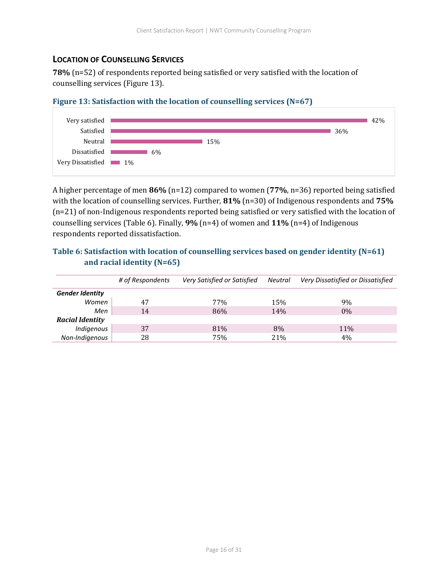#### <span id="page-16-0"></span>**LOCATION OF COUNSELLING SERVICES**

**78%** (n=52) of respondents reported being satisfied or very satisfied with the location of counselling services (Figure 13).

<span id="page-16-1"></span>



A higher percentage of men **86%** (n=12) compared to women (**77%**, n=36) reported being satisfied with the location of counselling services. Further, **81%** (n=30) of Indigenous respondents and **75%**  (n=21) of non-Indigenous respondents reported being satisfied or very satisfied with the location of counselling services (Table 6). Finally, **9%** (n=4) of women and **11%** (n=4) of Indigenous respondents reported dissatisfaction.

#### <span id="page-16-2"></span>**Table 6: Satisfaction with location of counselling services based on gender identity (N=61) and racial identity (N=65)**

|                        | # of Respondents | Very Satisfied or Satisfied | Neutral | Very Dissatisfied or Dissatisfied |
|------------------------|------------------|-----------------------------|---------|-----------------------------------|
| <b>Gender Identity</b> |                  |                             |         |                                   |
| Women                  | 47               | 77 <sub>%</sub>             | 15%     | 9%                                |
| Men                    | 14               | 86%                         | 14%     | $0\%$                             |
| <b>Racial Identity</b> |                  |                             |         |                                   |
| Indigenous             | 37               | 81%                         | 8%      | 11%                               |
| Non-Indigenous         | 28               | 75%                         | 21%     | 4%                                |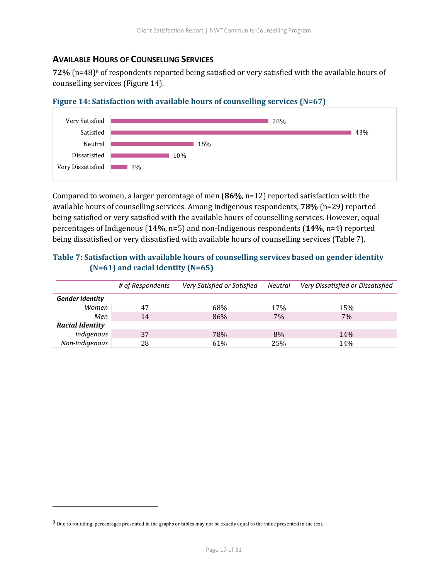#### <span id="page-17-0"></span>**AVAILABLE HOURS OF COUNSELLING SERVICES**

**72%** (n=48)<sup>8</sup> of respondents reported being satisfied or very satisfied with the available hours of counselling services (Figure 14).

<span id="page-17-1"></span>



Compared to women, a larger percentage of men (**86%**, n=12) reported satisfaction with the available hours of counselling services. Among Indigenous respondents, **78%** (n=29) reported being satisfied or very satisfied with the available hours of counselling services. However, equal percentages of Indigenous (**14%**, n=5) and non-Indigenous respondents (**14%**, n=4) reported being dissatisfied or very dissatisfied with available hours of counselling services (Table 7).

#### <span id="page-17-2"></span>**Table 7: Satisfaction with available hours of counselling services based on gender identity (N=61) and racial identity (N=65)**

|                        | # of Respondents | Very Satisfied or Satisfied | Neutral | Very Dissatisfied or Dissatisfied |
|------------------------|------------------|-----------------------------|---------|-----------------------------------|
|                        |                  |                             |         |                                   |
| <b>Gender Identity</b> |                  |                             |         |                                   |
| Women                  | 47               | 68%                         | 17%     | 15%                               |
| Men                    | 14               | 86%                         | 7%      | 7%                                |
| <b>Racial Identity</b> |                  |                             |         |                                   |
| Indigenous             | 37               | 78%                         | 8%      | 14%                               |
| Non-Indigenous         | 28               | 61%                         | 25%     | 14%                               |

<sup>&</sup>lt;sup>8</sup> Due to rounding, percentages presented in the graphs or tables may not be exactly equal to the value presented in the text.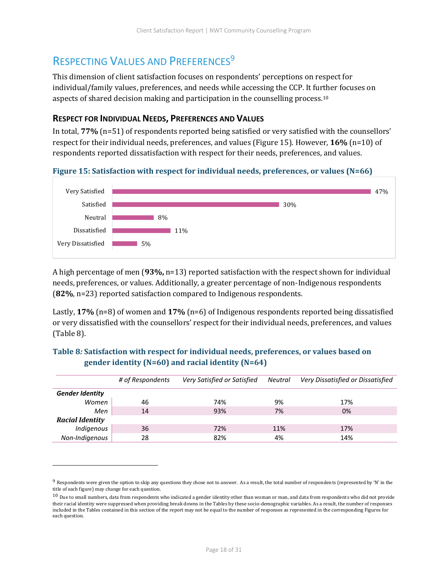### <span id="page-18-0"></span>RESPECTING VALUES AND PREFERENCES<sup>9</sup>

This dimension of client satisfaction focuses on respondents' perceptions on respect for individual/family values, preferences, and needs while accessing the CCP. It further focuses on aspects of shared decision making and participation in the counselling process.<sup>10</sup>

#### <span id="page-18-1"></span>**RESPECT FOR INDIVIDUAL NEEDS, PREFERENCES AND VALUES**

In total, **77%** (n=51) of respondents reported being satisfied or very satisfied with the counsellors' respect for their individual needs, preferences, and values (Figure 15). However, **16%** (n=10) of respondents reported dissatisfaction with respect for their needs, preferences, and values.

#### <span id="page-18-2"></span>**Figure 15: Satisfaction with respect for individual needs, preferences, or values (N=66)**



A high percentage of men (**93%,** n=13) reported satisfaction with the respect shown for individual needs, preferences, or values. Additionally, a greater percentage of non-Indigenous respondents (**82%**, n=23) reported satisfaction compared to Indigenous respondents.

Lastly, **17%** (n=8) of women and **17%** (n=6) of Indigenous respondents reported being dissatisfied or very dissatisfied with the counsellors' respect for their individual needs, preferences, and values (Table 8).

#### <span id="page-18-3"></span>**Table 8***:* **Satisfaction with respect for individual needs, preferences, or values based on gender identity (N=60) and racial identity (N=64)**

|                        | # of Respondents | Very Satisfied or Satisfied | Neutral | Very Dissatisfied or Dissatisfied |
|------------------------|------------------|-----------------------------|---------|-----------------------------------|
| <b>Gender Identity</b> |                  |                             |         |                                   |
| Women                  | 46               | 74%                         | 9%      | 17%                               |
| Men                    | 14               | 93%                         | 7%      | 0%                                |
| <b>Racial Identity</b> |                  |                             |         |                                   |
| Indigenous             | 36               | 72%                         | 11%     | 17%                               |
| Non-Indigenous         | 28               | 82%                         | 4%      | 14%                               |

 $9$  Respondents were given the option to skip any questions they chose not to answer. As a result, the total number of respondents (represented by 'N' in the title of each figure) may change for each question.

 $10$  Due to small numbers, data from respondents who indicated a gender identity other than woman or man, and data from respondents who did not provide their racial identity were suppressed when providing break downs in the Tables by these socio-demographic variables. As a result, the number of responses included in the Tables contained in this section of the report may not be equal to the number of responses as represented in the corresponding Figures for each question.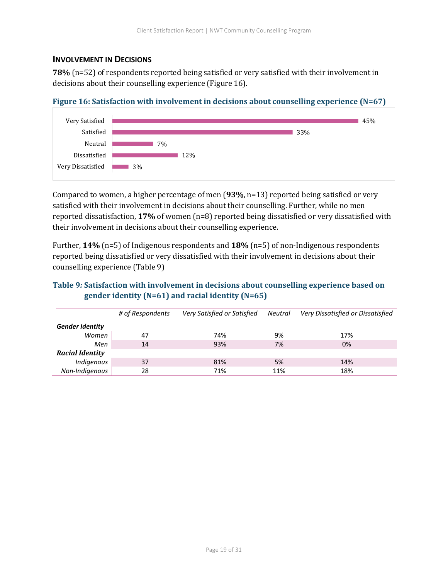#### <span id="page-19-0"></span>**INVOLVEMENT IN DECISIONS**

**78%** (n=52) of respondents reported being satisfied or very satisfied with their involvement in decisions about their counselling experience (Figure 16).

<span id="page-19-1"></span>



Compared to women, a higher percentage of men (**93%**, n=13) reported being satisfied or very satisfied with their involvement in decisions about their counselling. Further, while no men reported dissatisfaction, **17%** of women (n=8) reported being dissatisfied or very dissatisfied with their involvement in decisions about their counselling experience.

Further, **14%** (n=5) of Indigenous respondents and **18%** (n=5) of non-Indigenous respondents reported being dissatisfied or very dissatisfied with their involvement in decisions about their counselling experience (Table 9)

#### <span id="page-19-2"></span>**Table 9***:* **Satisfaction with involvement in decisions about counselling experience based on gender identity (N=61) and racial identity (N=65)**

|                        | # of Respondents | Very Satisfied or Satisfied | Neutral | Very Dissatisfied or Dissatisfied |
|------------------------|------------------|-----------------------------|---------|-----------------------------------|
| <b>Gender Identity</b> |                  |                             |         |                                   |
| Women                  | 47               | 74%                         | 9%      | 17%                               |
| Men                    | 14               | 93%                         | 7%      | 0%                                |
| <b>Racial Identity</b> |                  |                             |         |                                   |
| Indigenous             | 37               | 81%                         | 5%      | 14%                               |
| Non-Indigenous         | 28               | 71%                         | 11%     | 18%                               |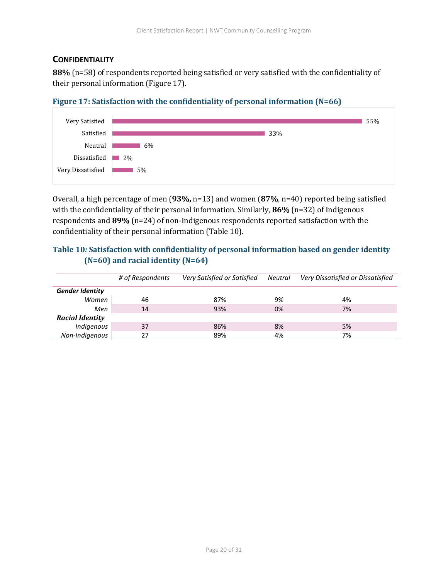#### <span id="page-20-0"></span>**CONFIDENTIALITY**

**88%** (n=58) of respondents reported being satisfied or very satisfied with the confidentiality of their personal information (Figure 17).

<span id="page-20-1"></span>



Overall, a high percentage of men (**93%,** n=13) and women (**87%**, n=40) reported being satisfied with the confidentiality of their personal information. Similarly, **86%** (n=32) of Indigenous respondents and **89%** (n=24) of non-Indigenous respondents reported satisfaction with the confidentiality of their personal information (Table 10).

#### <span id="page-20-2"></span>**Table 10***:* **Satisfaction with confidentiality of personal information based on gender identity (N=60) and racial identity (N=64)**

|                        | # of Respondents | Very Satisfied or Satisfied | Neutral | Very Dissatisfied or Dissatisfied |
|------------------------|------------------|-----------------------------|---------|-----------------------------------|
| <b>Gender Identity</b> |                  |                             |         |                                   |
| Women                  | 46               | 87%                         | 9%      | 4%                                |
| Men                    | 14               | 93%                         | 0%      | 7%                                |
| <b>Racial Identity</b> |                  |                             |         |                                   |
| Indigenous             | 37               | 86%                         | 8%      | 5%                                |
| Non-Indigenous         | 27               | 89%                         | 4%      | 7%                                |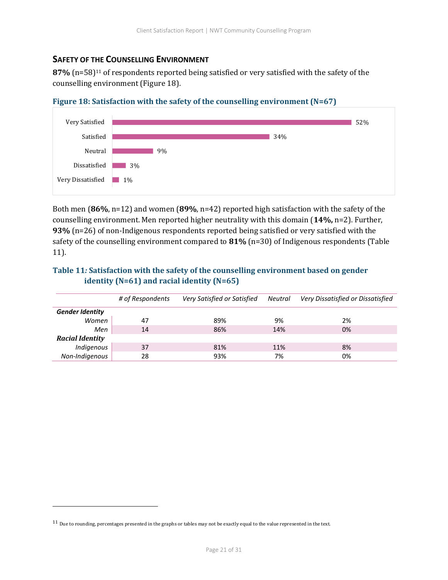#### <span id="page-21-0"></span>**SAFETY OF THE COUNSELLING ENVIRONMENT**

**87%** (n=58)<sup>11</sup> of respondents reported being satisfied or very satisfied with the safety of the counselling environment (Figure 18).



<span id="page-21-1"></span>

Both men (**86%**, n=12) and women (**89%**, n=42) reported high satisfaction with the safety of the counselling environment. Men reported higher neutrality with this domain (**14%,** n=2). Further, **93%** (n=26) of non-Indigenous respondents reported being satisfied or very satisfied with the safety of the counselling environment compared to **81%** (n=30) of Indigenous respondents (Table 11).

#### <span id="page-21-2"></span>**Table 11***:* **Satisfaction with the safety of the counselling environment based on gender identity (N=61) and racial identity (N=65)**

|                        | # of Respondents | Very Satisfied or Satisfied | Neutral | Very Dissatisfied or Dissatisfied |
|------------------------|------------------|-----------------------------|---------|-----------------------------------|
| <b>Gender Identity</b> |                  |                             |         |                                   |
| Women                  | 47               | 89%                         | 9%      | 2%                                |
| Men                    | 14               | 86%                         | 14%     | 0%                                |
| <b>Racial Identity</b> |                  |                             |         |                                   |
| Indigenous             | 37               | 81%                         | 11%     | 8%                                |
| Non-Indigenous         | 28               | 93%                         | 7%      | 0%                                |

<sup>&</sup>lt;sup>11</sup> Due to rounding, percentages presented in the graphs or tables may not be exactly equal to the value represented in the text.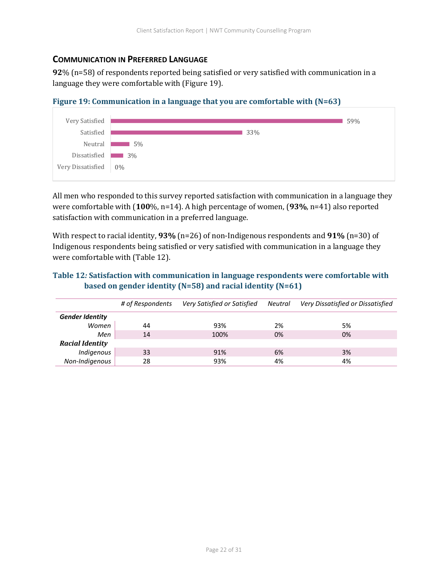#### <span id="page-22-0"></span>**COMMUNICATION IN PREFERRED LANGUAGE**

**92**% (n=58) of respondents reported being satisfied or very satisfied with communication in a language they were comfortable with (Figure 19).

<span id="page-22-1"></span>



All men who responded to this survey reported satisfaction with communication in a language they were comfortable with (**100**%, n=14). A high percentage of women, (**93%**, n=41) also reported satisfaction with communication in a preferred language.

With respect to racial identity, **93%** (n=26) of non-Indigenous respondents and **91%** (n=30) of Indigenous respondents being satisfied or very satisfied with communication in a language they were comfortable with (Table 12).

#### <span id="page-22-2"></span>**Table 12***:* **Satisfaction with communication in language respondents were comfortable with based on gender identity (N=58) and racial identity (N=61)**

|                        | # of Respondents | Very Satisfied or Satisfied | Neutral | Very Dissatisfied or Dissatisfied |
|------------------------|------------------|-----------------------------|---------|-----------------------------------|
| <b>Gender Identity</b> |                  |                             |         |                                   |
| Women                  | 44               | 93%                         | 2%      | 5%                                |
| Men                    | 14               | 100%                        | 0%      | 0%                                |
| <b>Racial Identity</b> |                  |                             |         |                                   |
| Indigenous             | 33               | 91%                         | 6%      | 3%                                |
| Non-Indigenous         | 28               | 93%                         | 4%      | 4%                                |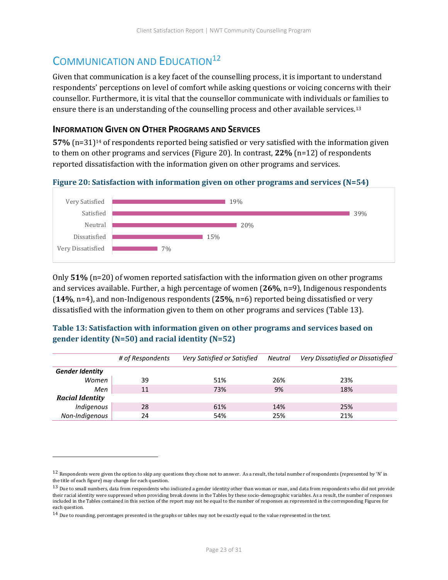## <span id="page-23-0"></span>COMMUNICATION AND EDUCATION<sup>12</sup>

Given that communication is a key facet of the counselling process, it is important to understand respondents' perceptions on level of comfort while asking questions or voicing concerns with their counsellor. Furthermore, it is vital that the counsellor communicate with individuals or families to ensure there is an understanding of the counselling process and other available services.<sup>13</sup>

#### <span id="page-23-1"></span>**INFORMATION GIVEN ON OTHER PROGRAMS AND SERVICES**

**57%** (n=31)<sup>14</sup> of respondents reported being satisfied or very satisfied with the information given to them on other programs and services (Figure 20). In contrast, **22%** (n=12) of respondents reported dissatisfaction with the information given on other programs and services.

<span id="page-23-2"></span>**Figure 20: Satisfaction with information given on other programs and services (N=54)**



Only **51%** (n=20) of women reported satisfaction with the information given on other programs and services available. Further, a high percentage of women (**26%**, n=9), Indigenous respondents (**14%**, n=4), and non-Indigenous respondents (**25%**, n=6) reported being dissatisfied or very dissatisfied with the information given to them on other programs and services (Table 13).

#### <span id="page-23-3"></span>**Table 13: Satisfaction with information given on other programs and services based on gender identity (N=50) and racial identity (N=52)**

|                        | # of Respondents | Very Satisfied or Satisfied | Neutral | Very Dissatisfied or Dissatisfied |
|------------------------|------------------|-----------------------------|---------|-----------------------------------|
| <b>Gender Identity</b> |                  |                             |         |                                   |
| Women                  | 39               | 51%                         | 26%     | 23%                               |
| Men                    | 11               | 73%                         | 9%      | 18%                               |
| <b>Racial Identity</b> |                  |                             |         |                                   |
| Indigenous             | 28               | 61%                         | 14%     | 25%                               |
| Non-Indigenous         | 24               | 54%                         | 25%     | 21%                               |

 $12$  Respondents were given the option to skip any questions they chose not to answer. As a result, the total number of respondents (represented by 'N' in the title of each figure) may change for each question.

 $^{13}$  Due to small numbers, data from respondents who indicated a gender identity other than woman or man, and data from respondents who did not provide their racial identity were suppressed when providing break downs in the Tables by these socio-demographic variables. As a result, the number of responses included in the Tables contained in this section of the report may not be equal to the number of responses as represented in the corresponding Figures for each question.

 $14$  Due to rounding, percentages presented in the graphs or tables may not be exactly equal to the value represented in the text.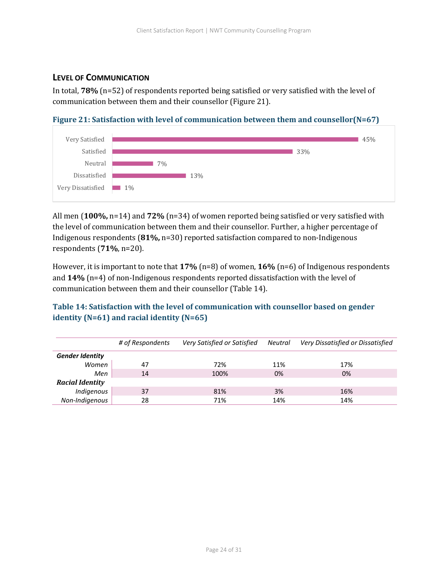#### <span id="page-24-0"></span>**LEVEL OF COMMUNICATION**

In total, **78%** (n=52) of respondents reported being satisfied or very satisfied with the level of communication between them and their counsellor (Figure 21).

<span id="page-24-1"></span>**Figure 21: Satisfaction with level of communication between them and counsellor(N=67)**



All men (**100%,** n=14) and **72%** (n=34) of women reported being satisfied or very satisfied with the level of communication between them and their counsellor. Further, a higher percentage of Indigenous respondents (**81%,** n=30) reported satisfaction compared to non-Indigenous respondents (**71%**, n=20).

However, it is important to note that **17%** (n=8) of women, **16%** (n=6) of Indigenous respondents and **14%** (n=4) of non-Indigenous respondents reported dissatisfaction with the level of communication between them and their counsellor (Table 14).

#### <span id="page-24-2"></span>**Table 14: Satisfaction with the level of communication with counsellor based on gender identity (N=61) and racial identity (N=65)**

|                        | # of Respondents | Very Satisfied or Satisfied | Neutral | Very Dissatisfied or Dissatisfied |
|------------------------|------------------|-----------------------------|---------|-----------------------------------|
| <b>Gender Identity</b> |                  |                             |         |                                   |
| Women                  | 47               | 72%                         | 11%     | 17%                               |
| Men                    | 14               | 100%                        | 0%      | 0%                                |
| <b>Racial Identity</b> |                  |                             |         |                                   |
| Indigenous             | 37               | 81%                         | 3%      | 16%                               |
| Non-Indigenous         | 28               | 71%                         | 14%     | 14%                               |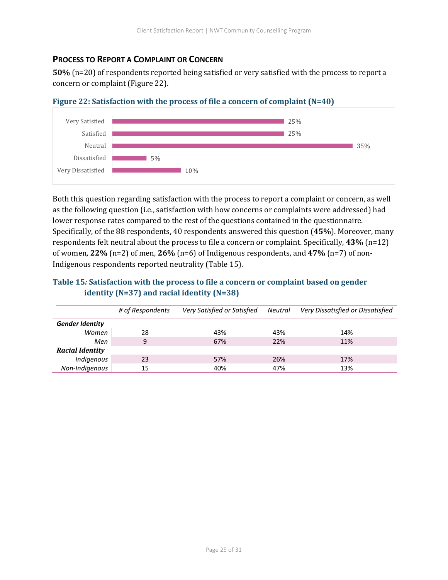#### <span id="page-25-0"></span>**PROCESS TO REPORT A COMPLAINT OR CONCERN**

**50%** (n=20) of respondents reported being satisfied or very satisfied with the process to report a concern or complaint (Figure 22).



<span id="page-25-1"></span>**Figure 22: Satisfaction with the process of file a concern of complaint (N=40)**

Both this question regarding satisfaction with the process to report a complaint or concern, as well as the following question (i.e., satisfaction with how concerns or complaints were addressed) had lower response rates compared to the rest of the questions contained in the questionnaire. Specifically, of the 88 respondents, 40 respondents answered this question (**45%**). Moreover, many respondents felt neutral about the process to file a concern or complaint. Specifically, **43%** (n=12) of women, **22%** (n=2) of men, **26%** (n=6) of Indigenous respondents, and **47%** (n=7) of non-Indigenous respondents reported neutrality (Table 15).

#### <span id="page-25-2"></span>**Table 15***:* **Satisfaction with the process to file a concern or complaint based on gender identity (N=37) and racial identity (N=38)**

|                        | # of Respondents | Very Satisfied or Satisfied | Neutral | Very Dissatisfied or Dissatisfied |
|------------------------|------------------|-----------------------------|---------|-----------------------------------|
| <b>Gender Identity</b> |                  |                             |         |                                   |
| Women                  | 28               | 43%                         | 43%     | 14%                               |
| Men                    | 9                | 67%                         | 22%     | 11%                               |
| <b>Racial Identity</b> |                  |                             |         |                                   |
| Indigenous             | 23               | 57%                         | 26%     | 17%                               |
| Non-Indigenous         | 15               | 40%                         | 47%     | 13%                               |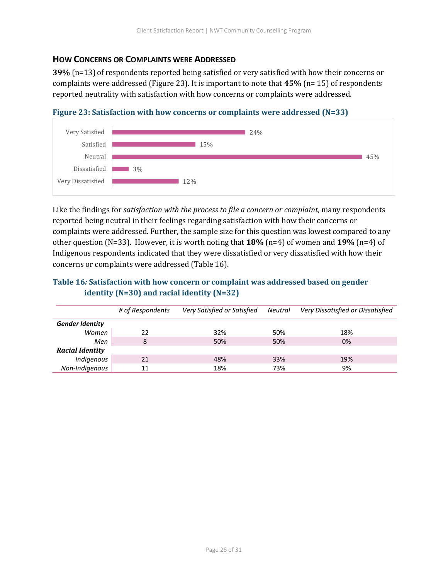#### <span id="page-26-0"></span>**HOW CONCERNS OR COMPLAINTS WERE ADDRESSED**

**39%** (n=13)of respondents reported being satisfied or very satisfied with how their concerns or complaints were addressed (Figure 23). It is important to note that **45%** (n= 15) of respondents reported neutrality with satisfaction with how concerns or complaints were addressed.



<span id="page-26-1"></span>**Figure 23: Satisfaction with how concerns or complaints were addressed (N=33)**

Like the findings for *satisfaction with the process to file a concern or complaint*, many respondents reported being neutral in their feelings regarding satisfaction with how their concerns or complaints were addressed. Further, the sample size for this question was lowest compared to any other question (N=33). However, it is worth noting that **18%** (n=4) of women and **19%** (n=4) of Indigenous respondents indicated that they were dissatisfied or very dissatisfied with how their concerns or complaints were addressed (Table 16).

#### <span id="page-26-2"></span>**Table 16***:* **Satisfaction with how concern or complaint was addressed based on gender identity (N=30) and racial identity (N=32)**

|                        | # of Respondents | Very Satisfied or Satisfied | Neutral | Very Dissatisfied or Dissatisfied |
|------------------------|------------------|-----------------------------|---------|-----------------------------------|
| <b>Gender Identity</b> |                  |                             |         |                                   |
| Women                  | 22               | 32%                         | 50%     | 18%                               |
| Men                    | 8                | 50%                         | 50%     | 0%                                |
| <b>Racial Identity</b> |                  |                             |         |                                   |
| Indigenous             | 21               | 48%                         | 33%     | 19%                               |
| Non-Indigenous         | 11               | 18%                         | 73%     | 9%                                |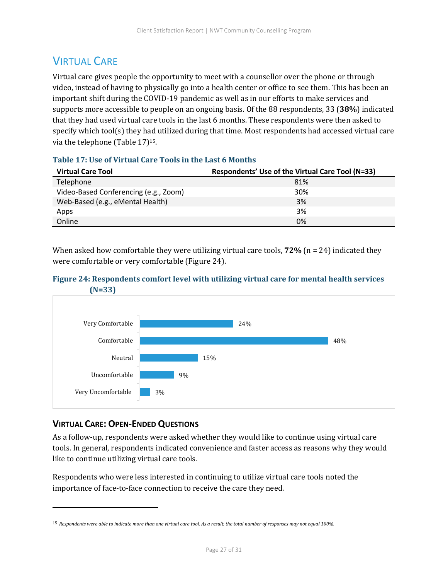## <span id="page-27-0"></span>**VIRTUAL CARE**

Virtual care gives people the opportunity to meet with a counsellor over the phone or through video, instead of having to physically go into a health center or office to see them. This has been an important shift during the COVID-19 pandemic as well as in our efforts to make services and supports more accessible to people on an ongoing basis. Of the 88 respondents, 33 (**38%**) indicated that they had used virtual care tools in the last 6 months. These respondents were then asked to specify which tool(s) they had utilized during that time. Most respondents had accessed virtual care via the telephone (Table 17)15.

| <b>Virtual Care Tool</b>              | Respondents' Use of the Virtual Care Tool (N=33) |
|---------------------------------------|--------------------------------------------------|
| Telephone                             | 81%                                              |
| Video-Based Conferencing (e.g., Zoom) | 30%                                              |
| Web-Based (e.g., eMental Health)      | 3%                                               |
| Apps                                  | 3%                                               |
| Online                                | 0%                                               |

#### <span id="page-27-3"></span>**Table 17: Use of Virtual Care Tools in the Last 6 Months**

When asked how comfortable they were utilizing virtual care tools,  $72\%$  ( $n = 24$ ) indicated they were comfortable or very comfortable (Figure 24).

#### <span id="page-27-2"></span>**Figure 24: Respondents comfort level with utilizing virtual care for mental health services (N=33)**



#### <span id="page-27-1"></span>**VIRTUAL CARE: OPEN-ENDED QUESTIONS**

As a follow-up, respondents were asked whether they would like to continue using virtual care tools. In general, respondents indicated convenience and faster access as reasons why they would like to continue utilizing virtual care tools.

Respondents who were less interested in continuing to utilize virtual care tools noted the importance of face-to-face connection to receive the care they need.

<sup>15</sup> *Respondents were able to indicate more than one virtual care tool. As a result, the total number of responses may not equal 100%.*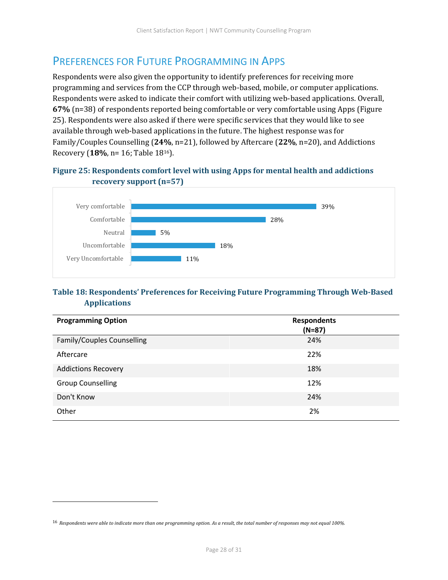### <span id="page-28-0"></span>PREFERENCES FOR FUTURE PROGRAMMING IN APPS

Respondents were also given the opportunity to identify preferences for receiving more programming and services from the CCP through web-based, mobile, or computer applications. Respondents were asked to indicate their comfort with utilizing web-based applications. Overall, **67%** (n=38) of respondents reported being comfortable or very comfortable using Apps (Figure 25). Respondents were also asked if there were specific services that they would like to see available through web-based applications in the future. The highest response was for Family/Couples Counselling (**24%**, n=21), followed by Aftercare (**22%**, n=20), and Addictions Recovery (**18%**, n= 16; Table 1816).

#### <span id="page-28-1"></span>**Figure 25: Respondents comfort level with using Apps for mental health and addictions recovery support (n=57)**



#### <span id="page-28-2"></span>**Table 18: Respondents' Preferences for Receiving Future Programming Through Web-Based Applications**

| <b>Programming Option</b>  | <b>Respondents</b><br>$(N=87)$ |
|----------------------------|--------------------------------|
| Family/Couples Counselling | 24%                            |
| Aftercare                  | 22%                            |
| <b>Addictions Recovery</b> | 18%                            |
| <b>Group Counselling</b>   | 12%                            |
| Don't Know                 | 24%                            |
| Other                      | 2%                             |

<sup>16</sup> *Respondents were able to indicate more than one programming option. As a result, the total number of responses may not equal 100%.*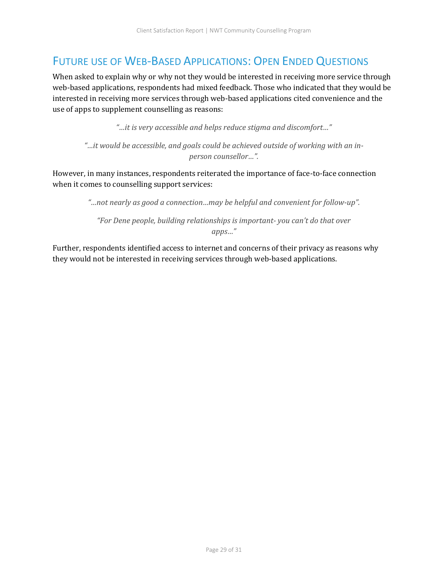### <span id="page-29-0"></span>FUTURE USE OF WEB-BASED APPLICATIONS: OPEN ENDED QUESTIONS

When asked to explain why or why not they would be interested in receiving more service through web-based applications, respondents had mixed feedback. Those who indicated that they would be interested in receiving more services through web-based applications cited convenience and the use of apps to supplement counselling as reasons:

*"…it is very accessible and helps reduce stigma and discomfort…"*

"...it would be accessible, and goals could be achieved outside of working with an in*person counsellor…".*

However, in many instances, respondents reiterated the importance of face-to-face connection when it comes to counselling support services:

*"…not nearly as good a connection…may be helpful and convenient for follow-up".*

*"For Dene people, building relationships is important- you can't do that over apps…"* 

Further, respondents identified access to internet and concerns of their privacy as reasons why they would not be interested in receiving services through web-based applications.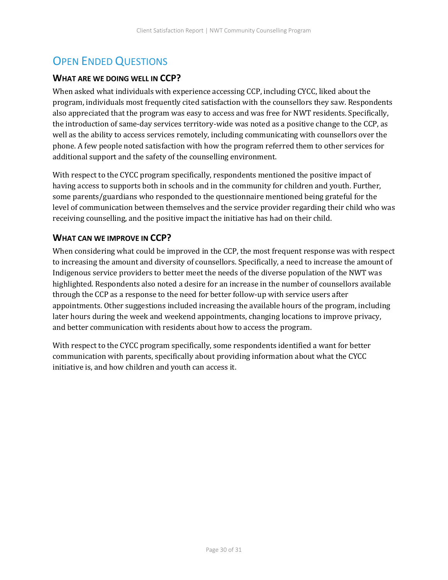## <span id="page-30-0"></span>OPEN ENDED QUESTIONS

#### <span id="page-30-1"></span>**WHAT ARE WE DOING WELL IN CCP?**

When asked what individuals with experience accessing CCP, including CYCC, liked about the program, individuals most frequently cited satisfaction with the counsellors they saw. Respondents also appreciated that the program was easy to access and was free for NWT residents. Specifically, the introduction of same-day services territory-wide was noted as a positive change to the CCP, as well as the ability to access services remotely, including communicating with counsellors over the phone. A few people noted satisfaction with how the program referred them to other services for additional support and the safety of the counselling environment.

With respect to the CYCC program specifically, respondents mentioned the positive impact of having access to supports both in schools and in the community for children and youth. Further, some parents/guardians who responded to the questionnaire mentioned being grateful for the level of communication between themselves and the service provider regarding their child who was receiving counselling, and the positive impact the initiative has had on their child.

#### <span id="page-30-2"></span>**WHAT CAN WE IMPROVE IN CCP?**

When considering what could be improved in the CCP, the most frequent response was with respect to increasing the amount and diversity of counsellors. Specifically, a need to increase the amount of Indigenous service providers to better meet the needs of the diverse population of the NWT was highlighted. Respondents also noted a desire for an increase in the number of counsellors available through the CCP as a response to the need for better follow-up with service users after appointments. Other suggestions included increasing the available hours of the program, including later hours during the week and weekend appointments, changing locations to improve privacy, and better communication with residents about how to access the program.

With respect to the CYCC program specifically, some respondents identified a want for better communication with parents, specifically about providing information about what the CYCC initiative is, and how children and youth can access it.